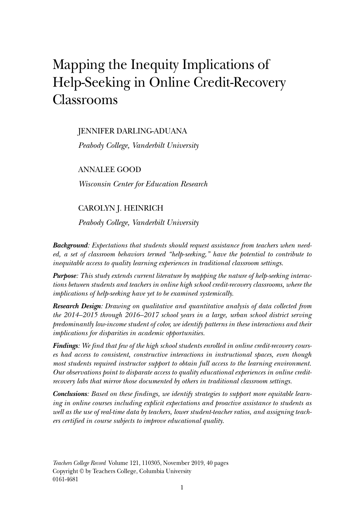# Mapping the Inequity Implications of Help-Seeking in Online Credit-Recovery Classrooms

JENNIFER DARLING-ADUANA

*Peabody College, Vanderbilt University*

ANNALEE GOOD

*Wisconsin Center for Education Research*

#### CAROLYN J. HEINRICH

*Peabody College, Vanderbilt University*

*Background: Expectations that students should request assistance from teachers when needed, a set of classroom behaviors termed "help-seeking," have the potential to contribute to inequitable access to quality learning experiences in traditional classroom settings.*

*Purpose: This study extends current literature by mapping the nature of help-seeking interactions between students and teachers in online high school credit-recovery classrooms, where the implications of help-seeking have yet to be examined systemically.*

*Research Design: Drawing on qualitative and quantitative analysis of data collected from the 2014–2015 through 2016–2017 school years in a large, urban school district serving predominantly low-income student of color, we identify patterns in these interactions and their implications for disparities in academic opportunities.*

*Findings: We find that few of the high school students enrolled in online credit-recovery courses had access to consistent, constructive interactions in instructional spaces, even though most students required instructor support to obtain full access to the learning environment. Our observations point to disparate access to quality educational experiences in online creditrecovery labs that mirror those documented by others in traditional classroom settings.*

*Conclusions: Based on these findings, we identify strategies to support more equitable learning in online courses including explicit expectations and proactive assistance to students as well as the use of real-time data by teachers, lower student-teacher ratios, and assigning teachers certified in course subjects to improve educational quality.*

*Teachers College Record* Volume 121, 110305, November 2019, 40 pages Copyright © by Teachers College, Columbia University 0161-4681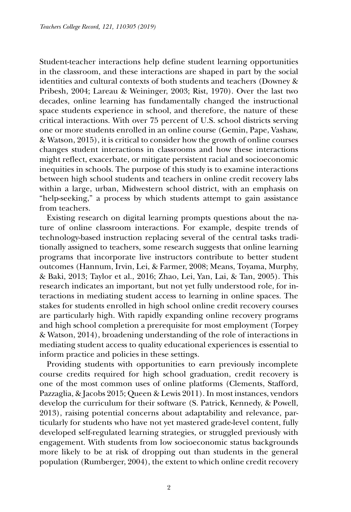Student-teacher interactions help define student learning opportunities in the classroom, and these interactions are shaped in part by the social identities and cultural contexts of both students and teachers (Downey & Pribesh, 2004; Lareau & Weininger, 2003; Rist, 1970). Over the last two decades, online learning has fundamentally changed the instructional space students experience in school, and therefore, the nature of these critical interactions. With over 75 percent of U.S. school districts serving one or more students enrolled in an online course (Gemin, Pape, Vashaw, & Watson, 2015), it is critical to consider how the growth of online courses changes student interactions in classrooms and how these interactions might reflect, exacerbate, or mitigate persistent racial and socioeconomic inequities in schools. The purpose of this study is to examine interactions between high school students and teachers in online credit recovery labs within a large, urban, Midwestern school district, with an emphasis on "help-seeking," a process by which students attempt to gain assistance from teachers.

Existing research on digital learning prompts questions about the nature of online classroom interactions. For example, despite trends of technology-based instruction replacing several of the central tasks traditionally assigned to teachers, some research suggests that online learning programs that incorporate live instructors contribute to better student outcomes (Hannum, Irvin, Lei, & Farmer, 2008; Means, Toyama, Murphy, & Baki, 2013; Taylor et al., 2016; Zhao, Lei, Yan, Lai, & Tan, 2005). This research indicates an important, but not yet fully understood role, for interactions in mediating student access to learning in online spaces. The stakes for students enrolled in high school online credit recovery courses are particularly high. With rapidly expanding online recovery programs and high school completion a prerequisite for most employment (Torpey & Watson, 2014), broadening understanding of the role of interactions in mediating student access to quality educational experiences is essential to inform practice and policies in these settings.

Providing students with opportunities to earn previously incomplete course credits required for high school graduation, credit recovery is one of the most common uses of online platforms (Clements, Stafford, Pazzaglia, & Jacobs 2015; Queen & Lewis 2011). In most instances, vendors develop the curriculum for their software (S. Patrick, Kennedy, & Powell, 2013), raising potential concerns about adaptability and relevance, particularly for students who have not yet mastered grade-level content, fully developed self-regulated learning strategies, or struggled previously with engagement. With students from low socioeconomic status backgrounds more likely to be at risk of dropping out than students in the general population (Rumberger, 2004), the extent to which online credit recovery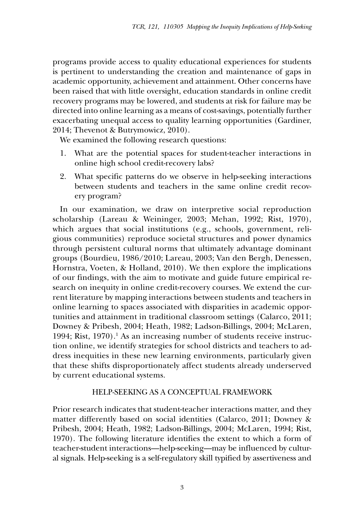programs provide access to quality educational experiences for students is pertinent to understanding the creation and maintenance of gaps in academic opportunity, achievement and attainment. Other concerns have been raised that with little oversight, education standards in online credit recovery programs may be lowered, and students at risk for failure may be directed into online learning as a means of cost-savings, potentially further exacerbating unequal access to quality learning opportunities (Gardiner, 2014; Thevenot & Butrymowicz, 2010).

We examined the following research questions:

- 1. What are the potential spaces for student-teacher interactions in online high school credit-recovery labs?
- 2. What specific patterns do we observe in help-seeking interactions between students and teachers in the same online credit recovery program?

In our examination, we draw on interpretive social reproduction scholarship (Lareau & Weininger, 2003; Mehan, 1992; Rist, 1970), which argues that social institutions (e.g., schools, government, religious communities) reproduce societal structures and power dynamics through persistent cultural norms that ultimately advantage dominant groups (Bourdieu, 1986/2010; Lareau, 2003; Van den Bergh, Denessen, Hornstra, Voeten, & Holland, 2010). We then explore the implications of our findings, with the aim to motivate and guide future empirical research on inequity in online credit-recovery courses. We extend the current literature by mapping interactions between students and teachers in online learning to spaces associated with disparities in academic opportunities and attainment in traditional classroom settings (Calarco, 2011; Downey & Pribesh, 2004; Heath, 1982; Ladson-Billings, 2004; McLaren, 1994; Rist, 1970).<sup>1</sup> As an increasing number of students receive instruction online, we identify strategies for school districts and teachers to address inequities in these new learning environments, particularly given that these shifts disproportionately affect students already underserved by current educational systems.

# Help-Seeking as a Conceptual Framework

Prior research indicates that student-teacher interactions matter, and they matter differently based on social identities (Calarco, 2011; Downey & Pribesh, 2004; Heath, 1982; Ladson-Billings, 2004; McLaren, 1994; Rist, 1970). The following literature identifies the extent to which a form of teacher-student interactions—help-seeking—may be influenced by cultural signals. Help-seeking is a self-regulatory skill typified by assertiveness and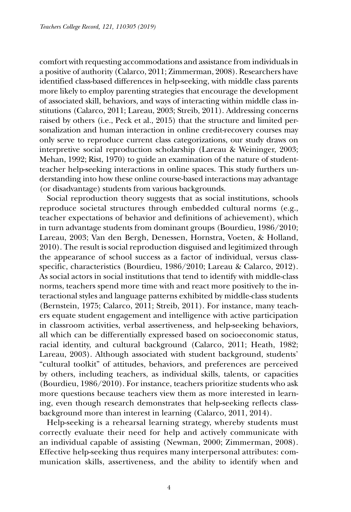comfort with requesting accommodations and assistance from individuals in a positive of authority (Calarco, 2011; Zimmerman, 2008). Researchers have identified class-based differences in help-seeking, with middle class parents more likely to employ parenting strategies that encourage the development of associated skill, behaviors, and ways of interacting within middle class institutions (Calarco, 2011; Lareau, 2003; Streib, 2011). Addressing concerns raised by others (i.e., Peck et al., 2015) that the structure and limited personalization and human interaction in online credit-recovery courses may only serve to reproduce current class categorizations, our study draws on interpretive social reproduction scholarship (Lareau & Weininger, 2003; Mehan, 1992; Rist, 1970) to guide an examination of the nature of studentteacher help-seeking interactions in online spaces. This study furthers understanding into how these online course-based interactions may advantage (or disadvantage) students from various backgrounds.

Social reproduction theory suggests that as social institutions, schools reproduce societal structures through embedded cultural norms (e.g., teacher expectations of behavior and definitions of achievement), which in turn advantage students from dominant groups (Bourdieu, 1986/2010; Lareau, 2003; Van den Bergh, Denessen, Hornstra, Voeten, & Holland, 2010). The result is social reproduction disguised and legitimized through the appearance of school success as a factor of individual, versus classspecific, characteristics (Bourdieu, 1986/2010; Lareau & Calarco, 2012). As social actors in social institutions that tend to identify with middle-class norms, teachers spend more time with and react more positively to the interactional styles and language patterns exhibited by middle-class students (Bernstein, 1975; Calarco, 2011; Streib, 2011). For instance, many teachers equate student engagement and intelligence with active participation in classroom activities, verbal assertiveness, and help-seeking behaviors, all which can be differentially expressed based on socioeconomic status, racial identity, and cultural background (Calarco, 2011; Heath, 1982; Lareau, 2003). Although associated with student background, students' "cultural toolkit" of attitudes, behaviors, and preferences are perceived by others, including teachers, as individual skills, talents, or capacities (Bourdieu, 1986/2010). For instance, teachers prioritize students who ask more questions because teachers view them as more interested in learning, even though research demonstrates that help-seeking reflects classbackground more than interest in learning (Calarco, 2011, 2014).

Help-seeking is a rehearsal learning strategy, whereby students must correctly evaluate their need for help and actively communicate with an individual capable of assisting (Newman, 2000; Zimmerman, 2008). Effective help-seeking thus requires many interpersonal attributes: communication skills, assertiveness, and the ability to identify when and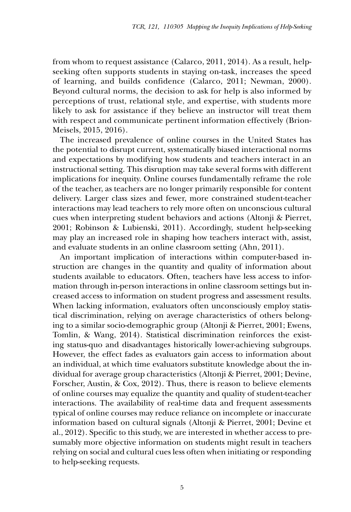from whom to request assistance (Calarco, 2011, 2014). As a result, helpseeking often supports students in staying on-task, increases the speed of learning, and builds confidence (Calarco, 2011; Newman, 2000). Beyond cultural norms, the decision to ask for help is also informed by perceptions of trust, relational style, and expertise, with students more likely to ask for assistance if they believe an instructor will treat them with respect and communicate pertinent information effectively (Brion-Meisels, 2015, 2016).

The increased prevalence of online courses in the United States has the potential to disrupt current, systematically biased interactional norms and expectations by modifying how students and teachers interact in an instructional setting. This disruption may take several forms with different implications for inequity. Online courses fundamentally reframe the role of the teacher, as teachers are no longer primarily responsible for content delivery. Larger class sizes and fewer, more constrained student-teacher interactions may lead teachers to rely more often on unconscious cultural cues when interpreting student behaviors and actions (Altonji & Pierret, 2001; Robinson & Lubienski, 2011). Accordingly, student help-seeking may play an increased role in shaping how teachers interact with, assist, and evaluate students in an online classroom setting (Ahn, 2011).

An important implication of interactions within computer-based instruction are changes in the quantity and quality of information about students available to educators. Often, teachers have less access to information through in-person interactions in online classroom settings but increased access to information on student progress and assessment results. When lacking information, evaluators often unconsciously employ statistical discrimination, relying on average characteristics of others belonging to a similar socio-demographic group (Altonji & Pierret, 2001; Ewens, Tomlin, & Wang, 2014). Statistical discrimination reinforces the existing status-quo and disadvantages historically lower-achieving subgroups. However, the effect fades as evaluators gain access to information about an individual, at which time evaluators substitute knowledge about the individual for average group characteristics (Altonji & Pierret, 2001; Devine, Forscher, Austin, & Cox, 2012). Thus, there is reason to believe elements of online courses may equalize the quantity and quality of student-teacher interactions. The availability of real-time data and frequent assessments typical of online courses may reduce reliance on incomplete or inaccurate information based on cultural signals (Altonji & Pierret, 2001; Devine et al., 2012). Specific to this study, we are interested in whether access to presumably more objective information on students might result in teachers relying on social and cultural cues less often when initiating or responding to help-seeking requests.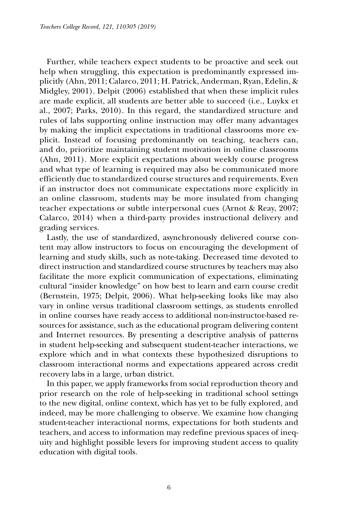Further, while teachers expect students to be proactive and seek out help when struggling, this expectation is predominantly expressed implicitly (Ahn, 2011; Calarco, 2011; H. Patrick, Anderman, Ryan, Edelin, & Midgley, 2001). Delpit (2006) established that when these implicit rules are made explicit, all students are better able to succeed (i.e., Luykx et al., 2007; Parks, 2010). In this regard, the standardized structure and rules of labs supporting online instruction may offer many advantages by making the implicit expectations in traditional classrooms more explicit. Instead of focusing predominantly on teaching, teachers can, and do, prioritize maintaining student motivation in online classrooms (Ahn, 2011). More explicit expectations about weekly course progress and what type of learning is required may also be communicated more efficiently due to standardized course structures and requirements. Even if an instructor does not communicate expectations more explicitly in an online classroom, students may be more insulated from changing teacher expectations or subtle interpersonal cues (Arnot & Reay, 2007; Calarco, 2014) when a third-party provides instructional delivery and grading services.

Lastly, the use of standardized, asynchronously delivered course content may allow instructors to focus on encouraging the development of learning and study skills, such as note-taking. Decreased time devoted to direct instruction and standardized course structures by teachers may also facilitate the more explicit communication of expectations, eliminating cultural "insider knowledge" on how best to learn and earn course credit (Bernstein, 1975; Delpit, 2006). What help-seeking looks like may also vary in online versus traditional classroom settings, as students enrolled in online courses have ready access to additional non-instructor-based resources for assistance, such as the educational program delivering content and Internet resources. By presenting a descriptive analysis of patterns in student help-seeking and subsequent student-teacher interactions, we explore which and in what contexts these hypothesized disruptions to classroom interactional norms and expectations appeared across credit recovery labs in a large, urban district.

In this paper, we apply frameworks from social reproduction theory and prior research on the role of help-seeking in traditional school settings to the new digital, online context, which has yet to be fully explored, and indeed, may be more challenging to observe. We examine how changing student-teacher interactional norms, expectations for both students and teachers, and access to information may redefine previous spaces of inequity and highlight possible levers for improving student access to quality education with digital tools.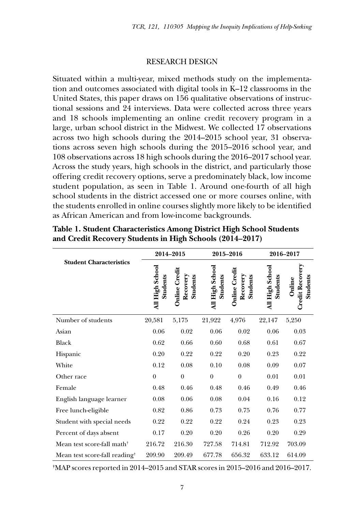#### Research Design

Situated within a multi-year, mixed methods study on the implementation and outcomes associated with digital tools in K–12 classrooms in the United States, this paper draws on 156 qualitative observations of instructional sessions and 24 interviews. Data were collected across three years and 18 schools implementing an online credit recovery program in a large, urban school district in the Midwest. We collected 17 observations across two high schools during the 2014–2015 school year, 31 observations across seven high schools during the 2015–2016 school year, and 108 observations across 18 high schools during the 2016–2017 school year. Across the study years, high schools in the district, and particularly those offering credit recovery options, serve a predominately black, low income student population, as seen in Table 1. Around one-fourth of all high school students in the district accessed one or more courses online, with the students enrolled in online courses slightly more likely to be identified as African American and from low-income backgrounds.

|                                           | 2014-2015                   |                                              | 2015-2016                          |                                              | 2016-2017                   |                                              |
|-------------------------------------------|-----------------------------|----------------------------------------------|------------------------------------|----------------------------------------------|-----------------------------|----------------------------------------------|
| <b>Student Characteristics</b>            | All High School<br>Students | <b>Online</b> Credit<br>Recovery<br>Students | All High School<br><b>Students</b> | <b>Online Credit</b><br>Recovery<br>Students | All High School<br>Students | <b>Credit Recovery</b><br>Students<br>Online |
| Number of students                        | 20,581                      | 5,175                                        | 21,922                             | 4,976                                        | 22,147                      | 5,250                                        |
| Asian                                     | 0.06                        | 0.02                                         | 0.06                               | 0.02                                         | 0.06                        | 0.03                                         |
| <b>Black</b>                              | 0.62                        | 0.66                                         | 0.60                               | 0.68                                         | 0.61                        | 0.67                                         |
| Hispanic                                  | 0.20                        | 0.22                                         | 0.22                               | 0.20                                         | 0.23                        | 0.22                                         |
| White                                     | 0.12                        | 0.08                                         | 0.10                               | 0.08                                         | 0.09                        | 0.07                                         |
| Other race                                | $\mathbf{0}$                | $\overline{0}$                               | $\boldsymbol{0}$                   | $\boldsymbol{0}$                             | 0.01                        | 0.01                                         |
| Female                                    | 0.48                        | 0.46                                         | 0.48                               | 0.46                                         | 0.49                        | 0.46                                         |
| English language learner                  | 0.08                        | 0.06                                         | 0.08                               | 0.04                                         | 0.16                        | 0.12                                         |
| Free lunch-eligible                       | 0.82                        | 0.86                                         | 0.73                               | 0.75                                         | 0.76                        | 0.77                                         |
| Student with special needs                | 0.22                        | 0.22                                         | 0.22                               | 0.24                                         | 0.23                        | 0.23                                         |
| Percent of days absent                    | 0.17                        | 0.20                                         | 0.20                               | 0.26                                         | 0.20                        | 0.29                                         |
| Mean test score-fall math <sup>+</sup>    | 216.72                      | 216.30                                       | 727.58                             | 714.81                                       | 712.92                      | 703.09                                       |
| Mean test score-fall reading <sup>+</sup> | 209.90                      | 209.49                                       | 677.78                             | 656.32                                       | 633.12                      | 614.09                                       |

**Table 1. Student Characteristics Among District High School Students and Credit Recovery Students in High Schools (2014–2017)**

**†** MAP scores reported in 2014–2015 and STAR scores in 2015–2016 and 2016–2017.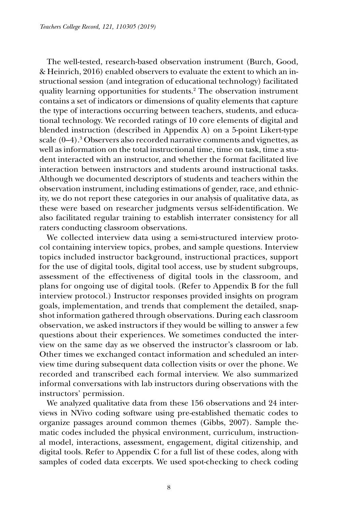The well-tested, research-based observation instrument (Burch, Good, & Heinrich, 2016) enabled observers to evaluate the extent to which an instructional session (and integration of educational technology) facilitated quality learning opportunities for students.2 The observation instrument contains a set of indicators or dimensions of quality elements that capture the type of interactions occurring between teachers, students, and educational technology. We recorded ratings of 10 core elements of digital and blended instruction (described in Appendix A) on a 5-point Likert-type scale (0-4).<sup>3</sup> Observers also recorded narrative comments and vignettes, as well as information on the total instructional time, time on task, time a student interacted with an instructor, and whether the format facilitated live interaction between instructors and students around instructional tasks. Although we documented descriptors of students and teachers within the observation instrument, including estimations of gender, race, and ethnicity, we do not report these categories in our analysis of qualitative data, as these were based on researcher judgments versus self-identification. We also facilitated regular training to establish interrater consistency for all raters conducting classroom observations.

We collected interview data using a semi-structured interview protocol containing interview topics, probes, and sample questions. Interview topics included instructor background, instructional practices, support for the use of digital tools, digital tool access, use by student subgroups, assessment of the effectiveness of digital tools in the classroom, and plans for ongoing use of digital tools. (Refer to Appendix B for the full interview protocol.) Instructor responses provided insights on program goals, implementation, and trends that complement the detailed, snapshot information gathered through observations. During each classroom observation, we asked instructors if they would be willing to answer a few questions about their experiences. We sometimes conducted the interview on the same day as we observed the instructor's classroom or lab. Other times we exchanged contact information and scheduled an interview time during subsequent data collection visits or over the phone. We recorded and transcribed each formal interview. We also summarized informal conversations with lab instructors during observations with the instructors' permission.

We analyzed qualitative data from these 156 observations and 24 interviews in NVivo coding software using pre-established thematic codes to organize passages around common themes (Gibbs, 2007). Sample thematic codes included the physical environment, curriculum, instructional model, interactions, assessment, engagement, digital citizenship, and digital tools. Refer to Appendix C for a full list of these codes, along with samples of coded data excerpts. We used spot-checking to check coding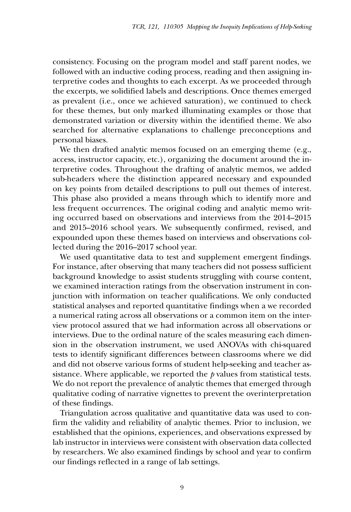consistency. Focusing on the program model and staff parent nodes, we followed with an inductive coding process, reading and then assigning interpretive codes and thoughts to each excerpt. As we proceeded through the excerpts, we solidified labels and descriptions. Once themes emerged as prevalent (i.e., once we achieved saturation), we continued to check for these themes, but only marked illuminating examples or those that demonstrated variation or diversity within the identified theme. We also searched for alternative explanations to challenge preconceptions and personal biases.

We then drafted analytic memos focused on an emerging theme (e.g., access, instructor capacity, etc.), organizing the document around the interpretive codes. Throughout the drafting of analytic memos, we added sub-headers where the distinction appeared necessary and expounded on key points from detailed descriptions to pull out themes of interest. This phase also provided a means through which to identify more and less frequent occurrences. The original coding and analytic memo writing occurred based on observations and interviews from the 2014–2015 and 2015–2016 school years. We subsequently confirmed, revised, and expounded upon these themes based on interviews and observations collected during the 2016–2017 school year.

We used quantitative data to test and supplement emergent findings. For instance, after observing that many teachers did not possess sufficient background knowledge to assist students struggling with course content, we examined interaction ratings from the observation instrument in conjunction with information on teacher qualifications. We only conducted statistical analyses and reported quantitative findings when a we recorded a numerical rating across all observations or a common item on the interview protocol assured that we had information across all observations or interviews. Due to the ordinal nature of the scales measuring each dimension in the observation instrument, we used ANOVAs with chi-squared tests to identify significant differences between classrooms where we did and did not observe various forms of student help-seeking and teacher assistance. Where applicable, we reported the *p* values from statistical tests. We do not report the prevalence of analytic themes that emerged through qualitative coding of narrative vignettes to prevent the overinterpretation of these findings.

Triangulation across qualitative and quantitative data was used to confirm the validity and reliability of analytic themes. Prior to inclusion, we established that the opinions, experiences, and observations expressed by lab instructor in interviews were consistent with observation data collected by researchers. We also examined findings by school and year to confirm our findings reflected in a range of lab settings.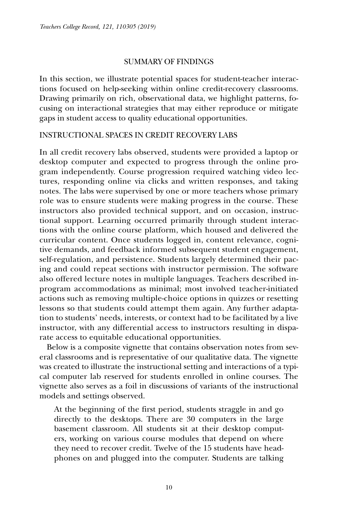#### Summary of Findings

In this section, we illustrate potential spaces for student-teacher interactions focused on help-seeking within online credit-recovery classrooms. Drawing primarily on rich, observational data, we highlight patterns, focusing on interactional strategies that may either reproduce or mitigate gaps in student access to quality educational opportunities.

## Instructional Spaces in Credit Recovery Labs

In all credit recovery labs observed, students were provided a laptop or desktop computer and expected to progress through the online program independently. Course progression required watching video lectures, responding online via clicks and written responses, and taking notes. The labs were supervised by one or more teachers whose primary role was to ensure students were making progress in the course. These instructors also provided technical support, and on occasion, instructional support. Learning occurred primarily through student interactions with the online course platform, which housed and delivered the curricular content. Once students logged in, content relevance, cognitive demands, and feedback informed subsequent student engagement, self-regulation, and persistence. Students largely determined their pacing and could repeat sections with instructor permission. The software also offered lecture notes in multiple languages. Teachers described inprogram accommodations as minimal; most involved teacher-initiated actions such as removing multiple-choice options in quizzes or resetting lessons so that students could attempt them again. Any further adaptation to students' needs, interests, or context had to be facilitated by a live instructor, with any differential access to instructors resulting in disparate access to equitable educational opportunities.

Below is a composite vignette that contains observation notes from several classrooms and is representative of our qualitative data. The vignette was created to illustrate the instructional setting and interactions of a typical computer lab reserved for students enrolled in online courses. The vignette also serves as a foil in discussions of variants of the instructional models and settings observed.

At the beginning of the first period, students straggle in and go directly to the desktops. There are 30 computers in the large basement classroom. All students sit at their desktop computers, working on various course modules that depend on where they need to recover credit. Twelve of the 15 students have headphones on and plugged into the computer. Students are talking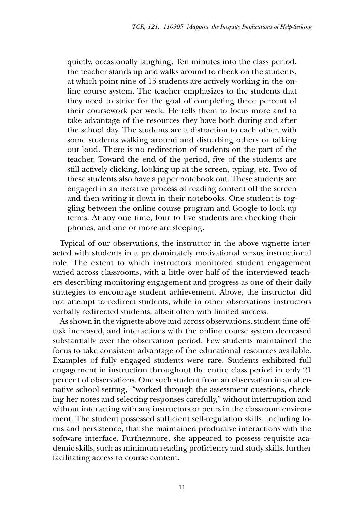quietly, occasionally laughing. Ten minutes into the class period, the teacher stands up and walks around to check on the students, at which point nine of 15 students are actively working in the online course system. The teacher emphasizes to the students that they need to strive for the goal of completing three percent of their coursework per week. He tells them to focus more and to take advantage of the resources they have both during and after the school day. The students are a distraction to each other, with some students walking around and disturbing others or talking out loud. There is no redirection of students on the part of the teacher. Toward the end of the period, five of the students are still actively clicking, looking up at the screen, typing, etc. Two of these students also have a paper notebook out. These students are engaged in an iterative process of reading content off the screen and then writing it down in their notebooks. One student is toggling between the online course program and Google to look up terms. At any one time, four to five students are checking their phones, and one or more are sleeping.

Typical of our observations, the instructor in the above vignette interacted with students in a predominately motivational versus instructional role. The extent to which instructors monitored student engagement varied across classrooms, with a little over half of the interviewed teachers describing monitoring engagement and progress as one of their daily strategies to encourage student achievement. Above, the instructor did not attempt to redirect students, while in other observations instructors verbally redirected students, albeit often with limited success.

As shown in the vignette above and across observations, student time offtask increased, and interactions with the online course system decreased substantially over the observation period. Few students maintained the focus to take consistent advantage of the educational resources available. Examples of fully engaged students were rare. Students exhibited full engagement in instruction throughout the entire class period in only 21 percent of observations. One such student from an observation in an alternative school setting,<sup>4</sup> "worked through the assessment questions, checking her notes and selecting responses carefully," without interruption and without interacting with any instructors or peers in the classroom environment. The student possessed sufficient self-regulation skills, including focus and persistence, that she maintained productive interactions with the software interface. Furthermore, she appeared to possess requisite academic skills, such as minimum reading proficiency and study skills, further facilitating access to course content.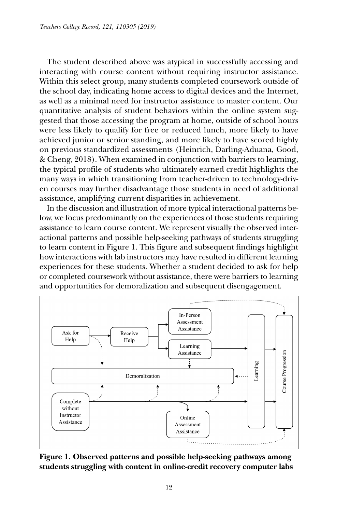The student described above was atypical in successfully accessing and interacting with course content without requiring instructor assistance. Within this select group, many students completed coursework outside of the school day, indicating home access to digital devices and the Internet, as well as a minimal need for instructor assistance to master content. Our quantitative analysis of student behaviors within the online system suggested that those accessing the program at home, outside of school hours were less likely to qualify for free or reduced lunch, more likely to have achieved junior or senior standing, and more likely to have scored highly on previous standardized assessments (Heinrich, Darling-Aduana, Good, & Cheng, 2018). When examined in conjunction with barriers to learning, the typical profile of students who ultimately earned credit highlights the many ways in which transitioning from teacher-driven to technology-driven courses may further disadvantage those students in need of additional assistance, amplifying current disparities in achievement.

In the discussion and illustration of more typical interactional patterns below, we focus predominantly on the experiences of those students requiring assistance to learn course content. We represent visually the observed interactional patterns and possible help-seeking pathways of students struggling to learn content in Figure 1. This figure and subsequent findings highlight how interactions with lab instructors may have resulted in different learning experiences for these students. Whether a student decided to ask for help or completed coursework without assistance, there were barriers to learning and opportunities for demoralization and subsequent disengagement.



**Figure 1. Observed patterns and possible help-seeking pathways among students struggling with content in online-credit recovery computer labs**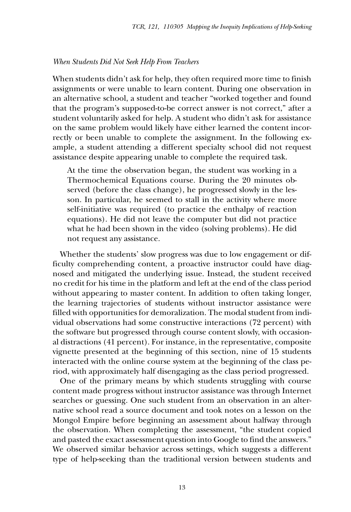#### *When Students Did Not Seek Help From Teachers*

When students didn't ask for help, they often required more time to finish assignments or were unable to learn content. During one observation in an alternative school, a student and teacher "worked together and found that the program's supposed-to-be correct answer is not correct," after a student voluntarily asked for help. A student who didn't ask for assistance on the same problem would likely have either learned the content incorrectly or been unable to complete the assignment. In the following example, a student attending a different specialty school did not request assistance despite appearing unable to complete the required task.

At the time the observation began, the student was working in a Thermochemical Equations course. During the 20 minutes observed (before the class change), he progressed slowly in the lesson. In particular, he seemed to stall in the activity where more self-initiative was required (to practice the enthalpy of reaction equations). He did not leave the computer but did not practice what he had been shown in the video (solving problems). He did not request any assistance.

Whether the students' slow progress was due to low engagement or difficulty comprehending content, a proactive instructor could have diagnosed and mitigated the underlying issue. Instead, the student received no credit for his time in the platform and left at the end of the class period without appearing to master content. In addition to often taking longer, the learning trajectories of students without instructor assistance were filled with opportunities for demoralization. The modal student from individual observations had some constructive interactions (72 percent) with the software but progressed through course content slowly, with occasional distractions (41 percent). For instance, in the representative, composite vignette presented at the beginning of this section, nine of 15 students interacted with the online course system at the beginning of the class period, with approximately half disengaging as the class period progressed.

One of the primary means by which students struggling with course content made progress without instructor assistance was through Internet searches or guessing. One such student from an observation in an alternative school read a source document and took notes on a lesson on the Mongol Empire before beginning an assessment about halfway through the observation. When completing the assessment, "the student copied and pasted the exact assessment question into Google to find the answers." We observed similar behavior across settings, which suggests a different type of help-seeking than the traditional version between students and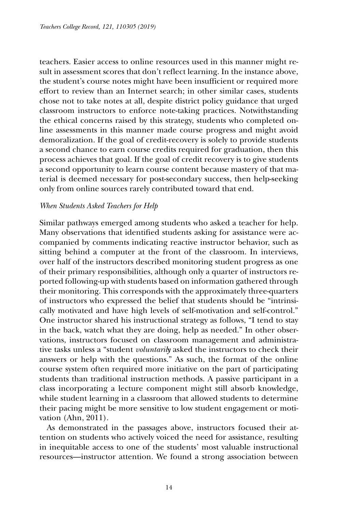teachers. Easier access to online resources used in this manner might result in assessment scores that don't reflect learning. In the instance above, the student's course notes might have been insufficient or required more effort to review than an Internet search; in other similar cases, students chose not to take notes at all, despite district policy guidance that urged classroom instructors to enforce note-taking practices. Notwithstanding the ethical concerns raised by this strategy, students who completed online assessments in this manner made course progress and might avoid demoralization. If the goal of credit-recovery is solely to provide students a second chance to earn course credits required for graduation, then this process achieves that goal. If the goal of credit recovery is to give students a second opportunity to learn course content because mastery of that material is deemed necessary for post-secondary success, then help-seeking only from online sources rarely contributed toward that end.

## *When Students Asked Teachers for Help*

Similar pathways emerged among students who asked a teacher for help. Many observations that identified students asking for assistance were accompanied by comments indicating reactive instructor behavior, such as sitting behind a computer at the front of the classroom. In interviews, over half of the instructors described monitoring student progress as one of their primary responsibilities, although only a quarter of instructors reported following-up with students based on information gathered through their monitoring. This corresponds with the approximately three-quarters of instructors who expressed the belief that students should be "intrinsically motivated and have high levels of self-motivation and self-control." One instructor shared his instructional strategy as follows, "I tend to stay in the back, watch what they are doing, help as needed." In other observations, instructors focused on classroom management and administrative tasks unless a "student *voluntarily* asked the instructors to check their answers or help with the questions." As such, the format of the online course system often required more initiative on the part of participating students than traditional instruction methods. A passive participant in a class incorporating a lecture component might still absorb knowledge, while student learning in a classroom that allowed students to determine their pacing might be more sensitive to low student engagement or motivation (Ahn, 2011).

As demonstrated in the passages above, instructors focused their attention on students who actively voiced the need for assistance, resulting in inequitable access to one of the students' most valuable instructional resources—instructor attention. We found a strong association between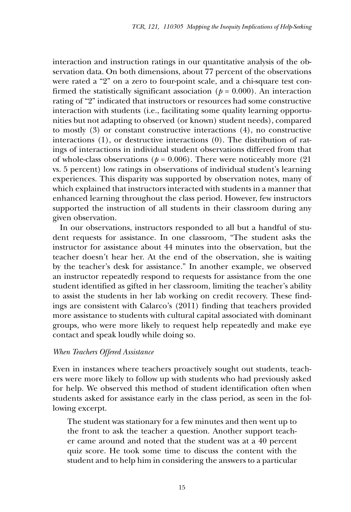interaction and instruction ratings in our quantitative analysis of the observation data. On both dimensions, about 77 percent of the observations were rated a "2" on a zero to four-point scale, and a chi-square test confirmed the statistically significant association ( $p = 0.000$ ). An interaction rating of "2" indicated that instructors or resources had some constructive interaction with students (i.e., facilitating some quality learning opportunities but not adapting to observed (or known) student needs), compared to mostly (3) or constant constructive interactions (4), no constructive interactions (1), or destructive interactions (0). The distribution of ratings of interactions in individual student observations differed from that of whole-class observations ( $p = 0.006$ ). There were noticeably more (21) vs. 5 percent) low ratings in observations of individual student's learning experiences. This disparity was supported by observation notes, many of which explained that instructors interacted with students in a manner that enhanced learning throughout the class period. However, few instructors supported the instruction of all students in their classroom during any given observation.

In our observations, instructors responded to all but a handful of student requests for assistance. In one classroom, "The student asks the instructor for assistance about 44 minutes into the observation, but the teacher doesn't hear her. At the end of the observation, she is waiting by the teacher's desk for assistance." In another example, we observed an instructor repeatedly respond to requests for assistance from the one student identified as gifted in her classroom, limiting the teacher's ability to assist the students in her lab working on credit recovery. These findings are consistent with Calarco's (2011) finding that teachers provided more assistance to students with cultural capital associated with dominant groups, who were more likely to request help repeatedly and make eye contact and speak loudly while doing so.

#### *When Teachers Offered Assistance*

Even in instances where teachers proactively sought out students, teachers were more likely to follow up with students who had previously asked for help. We observed this method of student identification often when students asked for assistance early in the class period, as seen in the following excerpt.

The student was stationary for a few minutes and then went up to the front to ask the teacher a question. Another support teacher came around and noted that the student was at a 40 percent quiz score. He took some time to discuss the content with the student and to help him in considering the answers to a particular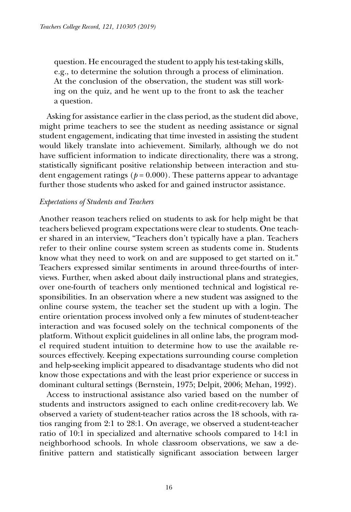question. He encouraged the student to apply his test-taking skills, e.g., to determine the solution through a process of elimination. At the conclusion of the observation, the student was still working on the quiz, and he went up to the front to ask the teacher a question.

Asking for assistance earlier in the class period, as the student did above, might prime teachers to see the student as needing assistance or signal student engagement, indicating that time invested in assisting the student would likely translate into achievement. Similarly, although we do not have sufficient information to indicate directionality, there was a strong, statistically significant positive relationship between interaction and student engagement ratings ( $p = 0.000$ ). These patterns appear to advantage further those students who asked for and gained instructor assistance.

#### *Expectations of Students and Teachers*

Another reason teachers relied on students to ask for help might be that teachers believed program expectations were clear to students. One teacher shared in an interview, "Teachers don't typically have a plan. Teachers refer to their online course system screen as students come in. Students know what they need to work on and are supposed to get started on it." Teachers expressed similar sentiments in around three-fourths of interviews. Further, when asked about daily instructional plans and strategies, over one-fourth of teachers only mentioned technical and logistical responsibilities. In an observation where a new student was assigned to the online course system, the teacher set the student up with a login. The entire orientation process involved only a few minutes of student-teacher interaction and was focused solely on the technical components of the platform. Without explicit guidelines in all online labs, the program model required student intuition to determine how to use the available resources effectively. Keeping expectations surrounding course completion and help-seeking implicit appeared to disadvantage students who did not know those expectations and with the least prior experience or success in dominant cultural settings (Bernstein, 1975; Delpit, 2006; Mehan, 1992).

Access to instructional assistance also varied based on the number of students and instructors assigned to each online credit-recovery lab. We observed a variety of student-teacher ratios across the 18 schools, with ratios ranging from 2:1 to 28:1. On average, we observed a student-teacher ratio of 10:1 in specialized and alternative schools compared to 14:1 in neighborhood schools. In whole classroom observations, we saw a definitive pattern and statistically significant association between larger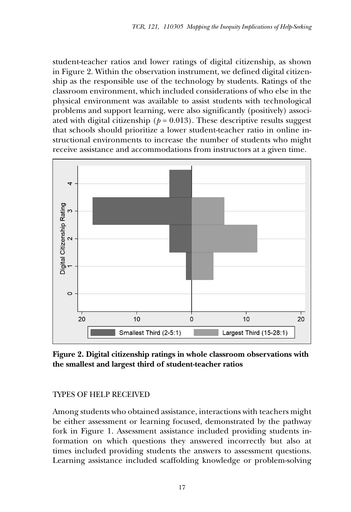student-teacher ratios and lower ratings of digital citizenship, as shown in Figure 2. Within the observation instrument, we defined digital citizenship as the responsible use of the technology by students. Ratings of the classroom environment, which included considerations of who else in the physical environment was available to assist students with technological problems and support learning, were also significantly (positively) associated with digital citizenship ( $p = 0.013$ ). These descriptive results suggest that schools should prioritize a lower student-teacher ratio in online instructional environments to increase the number of students who might receive assistance and accommodations from instructors at a given time.



**Figure 2. Digital citizenship ratings in whole classroom observations with the smallest and largest third of student-teacher ratios**

# Types of Help Received

Among students who obtained assistance, interactions with teachers might be either assessment or learning focused, demonstrated by the pathway fork in Figure 1. Assessment assistance included providing students information on which questions they answered incorrectly but also at times included providing students the answers to assessment questions. Learning assistance included scaffolding knowledge or problem-solving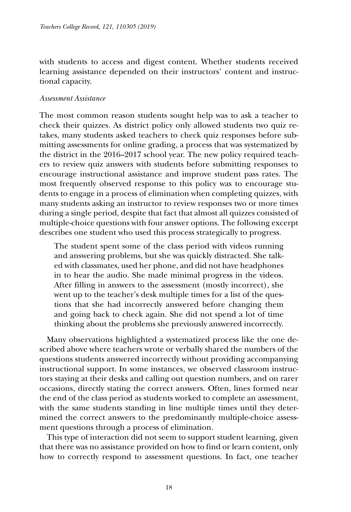with students to access and digest content. Whether students received learning assistance depended on their instructors' content and instructional capacity.

## *Assessment Assistance*

The most common reason students sought help was to ask a teacher to check their quizzes. As district policy only allowed students two quiz retakes, many students asked teachers to check quiz responses before submitting assessments for online grading, a process that was systematized by the district in the 2016–2017 school year. The new policy required teachers to review quiz answers with students before submitting responses to encourage instructional assistance and improve student pass rates. The most frequently observed response to this policy was to encourage students to engage in a process of elimination when completing quizzes, with many students asking an instructor to review responses two or more times during a single period, despite that fact that almost all quizzes consisted of multiple-choice questions with four answer options. The following excerpt describes one student who used this process strategically to progress.

The student spent some of the class period with videos running and answering problems, but she was quickly distracted. She talked with classmates, used her phone, and did not have headphones in to hear the audio. She made minimal progress in the videos. After filling in answers to the assessment (mostly incorrect), she went up to the teacher's desk multiple times for a list of the questions that she had incorrectly answered before changing them and going back to check again. She did not spend a lot of time thinking about the problems she previously answered incorrectly.

Many observations highlighted a systematized process like the one described above where teachers wrote or verbally shared the numbers of the questions students answered incorrectly without providing accompanying instructional support. In some instances, we observed classroom instructors staying at their desks and calling out question numbers, and on rarer occasions, directly stating the correct answers. Often, lines formed near the end of the class period as students worked to complete an assessment, with the same students standing in line multiple times until they determined the correct answers to the predominantly multiple-choice assessment questions through a process of elimination.

This type of interaction did not seem to support student learning, given that there was no assistance provided on how to find or learn content, only how to correctly respond to assessment questions. In fact, one teacher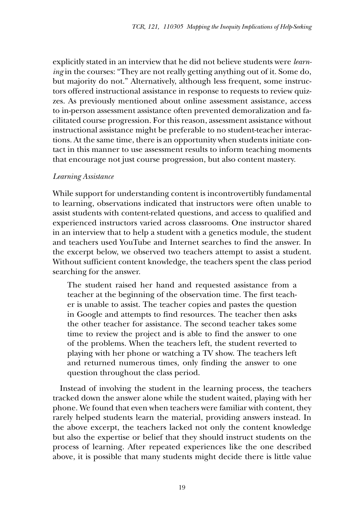explicitly stated in an interview that he did not believe students were *learning* in the courses: "They are not really getting anything out of it. Some do, but majority do not." Alternatively, although less frequent, some instructors offered instructional assistance in response to requests to review quizzes. As previously mentioned about online assessment assistance, access to in-person assessment assistance often prevented demoralization and facilitated course progression. For this reason, assessment assistance without instructional assistance might be preferable to no student-teacher interactions. At the same time, there is an opportunity when students initiate contact in this manner to use assessment results to inform teaching moments that encourage not just course progression, but also content mastery.

## *Learning Assistance*

While support for understanding content is incontrovertibly fundamental to learning, observations indicated that instructors were often unable to assist students with content-related questions, and access to qualified and experienced instructors varied across classrooms. One instructor shared in an interview that to help a student with a genetics module, the student and teachers used YouTube and Internet searches to find the answer. In the excerpt below, we observed two teachers attempt to assist a student. Without sufficient content knowledge, the teachers spent the class period searching for the answer.

The student raised her hand and requested assistance from a teacher at the beginning of the observation time. The first teacher is unable to assist. The teacher copies and pastes the question in Google and attempts to find resources. The teacher then asks the other teacher for assistance. The second teacher takes some time to review the project and is able to find the answer to one of the problems. When the teachers left, the student reverted to playing with her phone or watching a TV show. The teachers left and returned numerous times, only finding the answer to one question throughout the class period.

Instead of involving the student in the learning process, the teachers tracked down the answer alone while the student waited, playing with her phone. We found that even when teachers were familiar with content, they rarely helped students learn the material, providing answers instead. In the above excerpt, the teachers lacked not only the content knowledge but also the expertise or belief that they should instruct students on the process of learning. After repeated experiences like the one described above, it is possible that many students might decide there is little value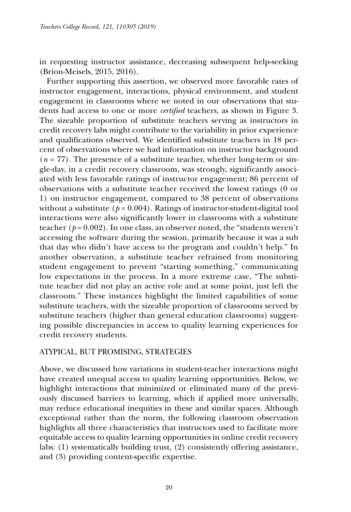in requesting instructor assistance, decreasing subsequent help-seeking (Brion-Meisels, 2015, 2016).

Further supporting this assertion, we observed more favorable rates of instructor engagement, interactions, physical environment, and student engagement in classrooms where we noted in our observations that students had access to one or more *certified* teachers, as shown in Figure 3. The sizeable proportion of substitute teachers serving as instructors in credit recovery labs might contribute to the variability in prior experience and qualifications observed. We identified substitute teachers in 18 percent of observations where we had information on instructor background (*n* = 77). The presence of a substitute teacher, whether long-term or single-day, in a credit recovery classroom, was strongly, significantly associated with less favorable ratings of instructor engagement; 86 percent of observations with a substitute teacher received the lowest ratings (0 or 1) on instructor engagement, compared to 38 percent of observations without a substitute ( $p = 0.004$ ). Ratings of instructor-student-digital tool interactions were also significantly lower in classrooms with a substitute teacher  $(p=0.002)$ . In one class, an observer noted, the "students weren't accessing the software during the session, primarily because it was a sub that day who didn't have access to the program and couldn't help." In another observation, a substitute teacher refrained from monitoring student engagement to prevent "starting something," communicating low expectations in the process. In a more extreme case, "The substitute teacher did not play an active role and at some point, just left the classroom." These instances highlight the limited capabilities of some substitute teachers, with the sizeable proportion of classrooms served by substitute teachers (higher than general education classrooms) suggesting possible discrepancies in access to quality learning experiences for credit recovery students.

# Atypical, but Promising, Strategies

Above, we discussed how variations in student-teacher interactions might have created unequal access to quality learning opportunities. Below, we highlight interactions that minimized or eliminated many of the previously discussed barriers to learning, which if applied more universally, may reduce educational inequities in these and similar spaces. Although exceptional rather than the norm, the following classroom observation highlights all three characteristics that instructors used to facilitate more equitable access to quality learning opportunities in online credit recovery labs: (1) systematically building trust, (2) consistently offering assistance, and (3) providing content-specific expertise.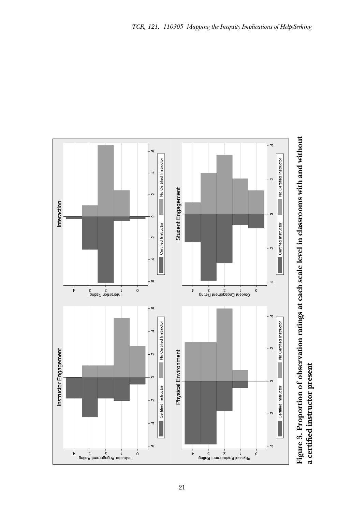

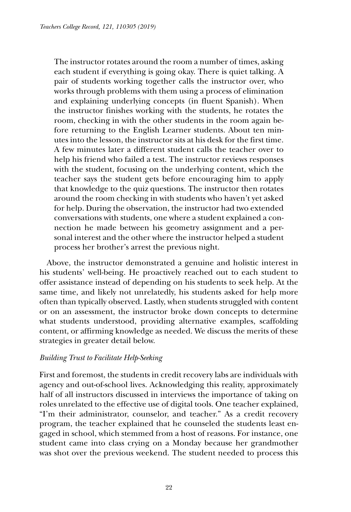The instructor rotates around the room a number of times, asking each student if everything is going okay. There is quiet talking. A pair of students working together calls the instructor over, who works through problems with them using a process of elimination and explaining underlying concepts (in fluent Spanish). When the instructor finishes working with the students, he rotates the room, checking in with the other students in the room again before returning to the English Learner students. About ten minutes into the lesson, the instructor sits at his desk for the first time. A few minutes later a different student calls the teacher over to help his friend who failed a test. The instructor reviews responses with the student, focusing on the underlying content, which the teacher says the student gets before encouraging him to apply that knowledge to the quiz questions. The instructor then rotates around the room checking in with students who haven't yet asked for help. During the observation, the instructor had two extended conversations with students, one where a student explained a connection he made between his geometry assignment and a personal interest and the other where the instructor helped a student process her brother's arrest the previous night.

Above, the instructor demonstrated a genuine and holistic interest in his students' well-being. He proactively reached out to each student to offer assistance instead of depending on his students to seek help. At the same time, and likely not unrelatedly, his students asked for help more often than typically observed. Lastly, when students struggled with content or on an assessment, the instructor broke down concepts to determine what students understood, providing alternative examples, scaffolding content, or affirming knowledge as needed. We discuss the merits of these strategies in greater detail below.

# *Building Trust to Facilitate Help-Seeking*

First and foremost, the students in credit recovery labs are individuals with agency and out-of-school lives. Acknowledging this reality, approximately half of all instructors discussed in interviews the importance of taking on roles unrelated to the effective use of digital tools. One teacher explained, "I'm their administrator, counselor, and teacher." As a credit recovery program, the teacher explained that he counseled the students least engaged in school, which stemmed from a host of reasons. For instance, one student came into class crying on a Monday because her grandmother was shot over the previous weekend. The student needed to process this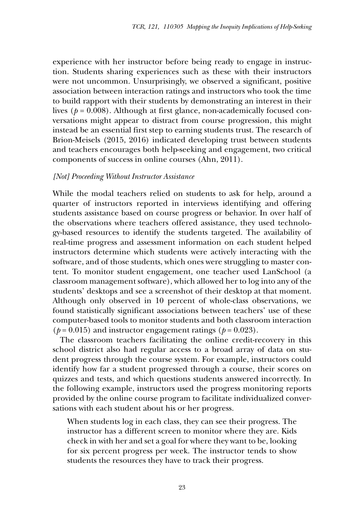experience with her instructor before being ready to engage in instruction. Students sharing experiences such as these with their instructors were not uncommon. Unsurprisingly, we observed a significant, positive association between interaction ratings and instructors who took the time to build rapport with their students by demonstrating an interest in their lives (*p* = 0.008). Although at first glance, non-academically focused conversations might appear to distract from course progression, this might instead be an essential first step to earning students trust. The research of Brion-Meisels (2015, 2016) indicated developing trust between students and teachers encourages both help-seeking and engagement, two critical components of success in online courses (Ahn, 2011).

#### *[Not] Proceeding Without Instructor Assistance*

While the modal teachers relied on students to ask for help, around a quarter of instructors reported in interviews identifying and offering students assistance based on course progress or behavior. In over half of the observations where teachers offered assistance, they used technology-based resources to identify the students targeted. The availability of real-time progress and assessment information on each student helped instructors determine which students were actively interacting with the software, and of those students, which ones were struggling to master content. To monitor student engagement, one teacher used LanSchool (a classroom management software), which allowed her to log into any of the students' desktops and see a screenshot of their desktop at that moment. Although only observed in 10 percent of whole-class observations, we found statistically significant associations between teachers' use of these computer-based tools to monitor students and both classroom interaction  $(p = 0.015)$  and instructor engagement ratings  $(p = 0.023)$ .

The classroom teachers facilitating the online credit-recovery in this school district also had regular access to a broad array of data on student progress through the course system. For example, instructors could identify how far a student progressed through a course, their scores on quizzes and tests, and which questions students answered incorrectly. In the following example, instructors used the progress monitoring reports provided by the online course program to facilitate individualized conversations with each student about his or her progress.

When students log in each class, they can see their progress. The instructor has a different screen to monitor where they are. Kids check in with her and set a goal for where they want to be, looking for six percent progress per week. The instructor tends to show students the resources they have to track their progress.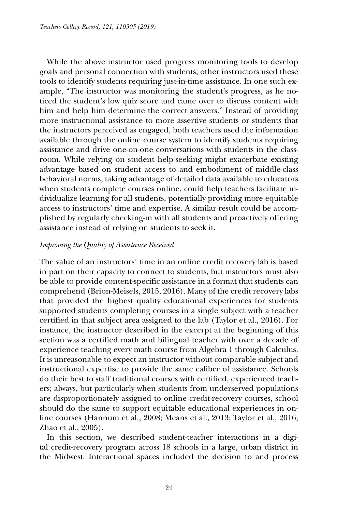While the above instructor used progress monitoring tools to develop goals and personal connection with students, other instructors used these tools to identify students requiring just-in-time assistance. In one such example, "The instructor was monitoring the student's progress, as he noticed the student's low quiz score and came over to discuss content with him and help him determine the correct answers." Instead of providing more instructional assistance to more assertive students or students that the instructors perceived as engaged, both teachers used the information available through the online course system to identify students requiring assistance and drive one-on-one conversations with students in the classroom. While relying on student help-seeking might exacerbate existing advantage based on student access to and embodiment of middle-class behavioral norms, taking advantage of detailed data available to educators when students complete courses online, could help teachers facilitate individualize learning for all students, potentially providing more equitable access to instructors' time and expertise. A similar result could be accomplished by regularly checking-in with all students and proactively offering assistance instead of relying on students to seek it.

# *Improving the Quality of Assistance Received*

The value of an instructors' time in an online credit recovery lab is based in part on their capacity to connect to students, but instructors must also be able to provide content-specific assistance in a format that students can comprehend (Brion-Meisels, 2015, 2016). Many of the credit recovery labs that provided the highest quality educational experiences for students supported students completing courses in a single subject with a teacher certified in that subject area assigned to the lab (Taylor et al., 2016). For instance, the instructor described in the excerpt at the beginning of this section was a certified math and bilingual teacher with over a decade of experience teaching every math course from Algebra 1 through Calculus. It is unreasonable to expect an instructor without comparable subject and instructional expertise to provide the same caliber of assistance. Schools do their best to staff traditional courses with certified, experienced teachers; always, but particularly when students from underserved populations are disproportionately assigned to online credit-recovery courses, school should do the same to support equitable educational experiences in online courses (Hannum et al., 2008; Means et al., 2013; Taylor et al., 2016; Zhao et al., 2005).

In this section, we described student-teacher interactions in a digital credit-recovery program across 18 schools in a large, urban district in the Midwest. Interactional spaces included the decision to and process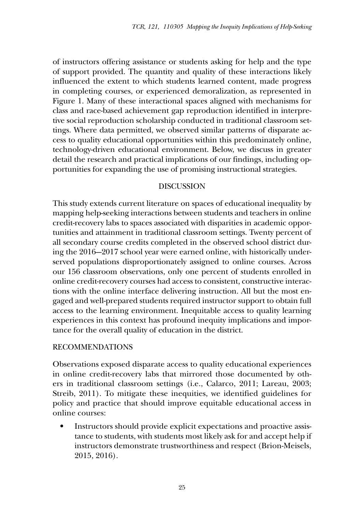of instructors offering assistance or students asking for help and the type of support provided. The quantity and quality of these interactions likely influenced the extent to which students learned content, made progress in completing courses, or experienced demoralization, as represented in Figure 1. Many of these interactional spaces aligned with mechanisms for class and race-based achievement gap reproduction identified in interpretive social reproduction scholarship conducted in traditional classroom settings. Where data permitted, we observed similar patterns of disparate access to quality educational opportunities within this predominately online, technology-driven educational environment. Below, we discuss in greater detail the research and practical implications of our findings, including opportunities for expanding the use of promising instructional strategies.

## Discussion

This study extends current literature on spaces of educational inequality by mapping help-seeking interactions between students and teachers in online credit-recovery labs to spaces associated with disparities in academic opportunities and attainment in traditional classroom settings. Twenty percent of all secondary course credits completed in the observed school district during the 2016-–2017 school year were earned online, with historically underserved populations disproportionately assigned to online courses. Across our 156 classroom observations, only one percent of students enrolled in online credit-recovery courses had access to consistent, constructive interactions with the online interface delivering instruction. All but the most engaged and well-prepared students required instructor support to obtain full access to the learning environment. Inequitable access to quality learning experiences in this context has profound inequity implications and importance for the overall quality of education in the district.

# Recommendations

Observations exposed disparate access to quality educational experiences in online credit-recovery labs that mirrored those documented by others in traditional classroom settings (i.e., Calarco, 2011; Lareau, 2003; Streib, 2011). To mitigate these inequities, we identified guidelines for policy and practice that should improve equitable educational access in online courses:

Instructors should provide explicit expectations and proactive assistance to students, with students most likely ask for and accept help if instructors demonstrate trustworthiness and respect (Brion-Meisels, 2015, 2016).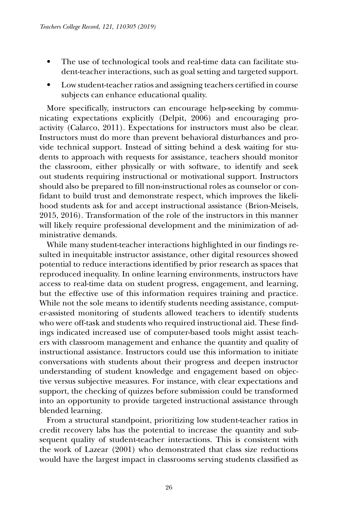- The use of technological tools and real-time data can facilitate student-teacher interactions, such as goal setting and targeted support.
- Low student-teacher ratios and assigning teachers certified in course subjects can enhance educational quality.

More specifically, instructors can encourage help-seeking by communicating expectations explicitly (Delpit, 2006) and encouraging proactivity (Calarco, 2011). Expectations for instructors must also be clear. Instructors must do more than prevent behavioral disturbances and provide technical support. Instead of sitting behind a desk waiting for students to approach with requests for assistance, teachers should monitor the classroom, either physically or with software, to identify and seek out students requiring instructional or motivational support. Instructors should also be prepared to fill non-instructional roles as counselor or confidant to build trust and demonstrate respect, which improves the likelihood students ask for and accept instructional assistance (Brion-Meisels, 2015, 2016). Transformation of the role of the instructors in this manner will likely require professional development and the minimization of administrative demands.

While many student-teacher interactions highlighted in our findings resulted in inequitable instructor assistance, other digital resources showed potential to reduce interactions identified by prior research as spaces that reproduced inequality. In online learning environments, instructors have access to real-time data on student progress, engagement, and learning, but the effective use of this information requires training and practice. While not the sole means to identify students needing assistance, computer-assisted monitoring of students allowed teachers to identify students who were off-task and students who required instructional aid. These findings indicated increased use of computer-based tools might assist teachers with classroom management and enhance the quantity and quality of instructional assistance. Instructors could use this information to initiate conversations with students about their progress and deepen instructor understanding of student knowledge and engagement based on objective versus subjective measures. For instance, with clear expectations and support, the checking of quizzes before submission could be transformed into an opportunity to provide targeted instructional assistance through blended learning.

From a structural standpoint, prioritizing low student-teacher ratios in credit recovery labs has the potential to increase the quantity and subsequent quality of student-teacher interactions. This is consistent with the work of Lazear (2001) who demonstrated that class size reductions would have the largest impact in classrooms serving students classified as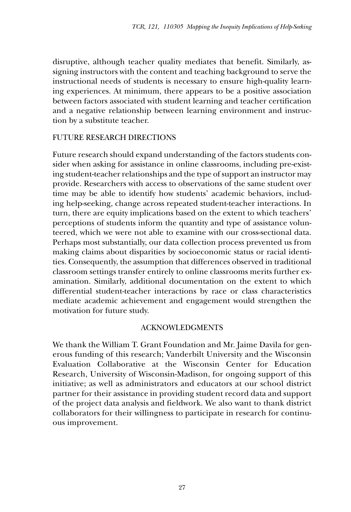disruptive, although teacher quality mediates that benefit. Similarly, assigning instructors with the content and teaching background to serve the instructional needs of students is necessary to ensure high-quality learning experiences. At minimum, there appears to be a positive association between factors associated with student learning and teacher certification and a negative relationship between learning environment and instruction by a substitute teacher.

# Future Research Directions

Future research should expand understanding of the factors students consider when asking for assistance in online classrooms, including pre-existing student-teacher relationships and the type of support an instructor may provide. Researchers with access to observations of the same student over time may be able to identify how students' academic behaviors, including help-seeking, change across repeated student-teacher interactions. In turn, there are equity implications based on the extent to which teachers' perceptions of students inform the quantity and type of assistance volunteered, which we were not able to examine with our cross-sectional data. Perhaps most substantially, our data collection process prevented us from making claims about disparities by socioeconomic status or racial identities. Consequently, the assumption that differences observed in traditional classroom settings transfer entirely to online classrooms merits further examination. Similarly, additional documentation on the extent to which differential student-teacher interactions by race or class characteristics mediate academic achievement and engagement would strengthen the motivation for future study.

# Acknowledgments

We thank the William T. Grant Foundation and Mr. Jaime Davila for generous funding of this research; Vanderbilt University and the Wisconsin Evaluation Collaborative at the Wisconsin Center for Education Research, University of Wisconsin-Madison, for ongoing support of this initiative; as well as administrators and educators at our school district partner for their assistance in providing student record data and support of the project data analysis and fieldwork. We also want to thank district collaborators for their willingness to participate in research for continuous improvement.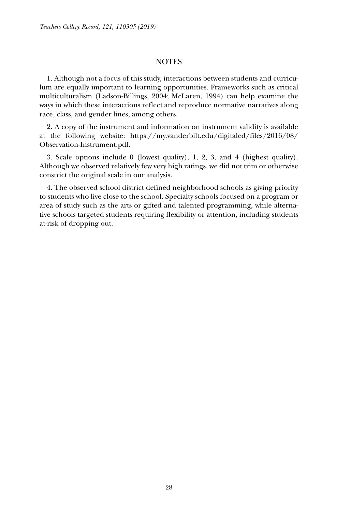#### **NOTES**

1. Although not a focus of this study, interactions between students and curriculum are equally important to learning opportunities. Frameworks such as critical multiculturalism (Ladson-Billings, 2004; McLaren, 1994) can help examine the ways in which these interactions reflect and reproduce normative narratives along race, class, and gender lines, among others.

2. A copy of the instrument and information on instrument validity is available at the following website: https://my.vanderbilt.edu/digitaled/files/2016/08/ Observation-Instrument.pdf.

3. Scale options include 0 (lowest quality), 1, 2, 3, and 4 (highest quality). Although we observed relatively few very high ratings, we did not trim or otherwise constrict the original scale in our analysis.

4. The observed school district defined neighborhood schools as giving priority to students who live close to the school. Specialty schools focused on a program or area of study such as the arts or gifted and talented programming, while alternative schools targeted students requiring flexibility or attention, including students at-risk of dropping out.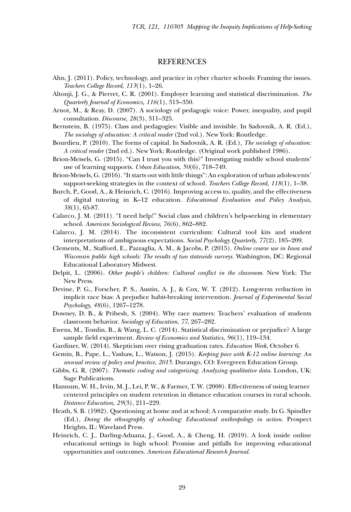#### **REFERENCES**

- Ahn, J. (2011). Policy, technology, and practice in cyber charter schools: Framing the issues. *Teachers College Record, 113*(1), 1–26.
- Altonji, J. G., & Pierret, C. R. (2001). Employer learning and statistical discrimination. *The Quarterly Journal of Economics, 116*(1), 313–350.
- Arnot, M., & Reay, D. (2007). A sociology of pedagogic voice: Power, inequality, and pupil consultation. *Discourse, 28*(3), 311–325.
- Bernstein, B. (1975). Class and pedagogies: Visible and invisible. In Sadovnik, A. R. (Ed.), *The sociology of education: A critical reader* (2nd vol.). New York: Routledge.
- Bourdieu, P. (2010). The forms of capital. In Sadovnik, A. R. (Ed.), *The sociology of education: A critical reader* (2nd ed.). New York: Routledge. (Original work published 1986).
- Brion-Meisels, G. (2015). "Can I trust you with this?" Investigating middle school students' use of learning supports. *Urban Education*, *50*(6), 718–749.
- Brion-Meisels, G. (2016). "It starts out with little things": An exploration of urban adolescents' support-seeking strategies in the context of school. *Teachers College Record, 118*(1), 1–38.
- Burch, P., Good, A., & Heinrich, C. (2016). Improving access to, quality, and the effectiveness of digital tutoring in K–12 education. *Educational Evaluation and Policy Analysis, 38*(1), 65-87.
- Calarco, J. M. (2011). "I need help!" Social class and children's help-seeking in elementary school. *American Sociological Review, 76*(6), 862–882.
- Calarco, J. M. (2014). The inconsistent curriculum: Cultural tool kits and student interpretations of ambiguous expectations. *Social Psychology Quarterly, 77*(2), 185–209.
- Clements, M., Stafford, E., Pazzaglia, A. M., & Jacobs, P. (2015). *Online course use in Iowa and Wisconsin public high schools: The results of two statewide surveys.* Washington, DC: Regional Educational Laboratory Midwest.
- Delpit, L. (2006). *Other people's children: Cultural conflict in the classroom.* New York: The New Press.
- Devine, P. G., Forscher, P. S., Austin, A. J., & Cox, W. T. (2012). Long-term reduction in implicit race bias: A prejudice habit-breaking intervention. *Journal of Experimental Social Psychology, 48*(6), 1267–1278.
- Downey, D. B., & Pribesh, S. (2004). Why race matters: Teachers' evaluation of students classroom behavior. *Sociology of Education*, *77*, 267–282.
- Ewens, M., Tomlin, B., & Wang, L. C. (2014). Statistical discrimination or prejudice? A large sample field experiment. *Review of Economics and Statistics, 96*(1), 119–134.
- Gardiner, W. (2014). Skepticism over rising graduation rates. *Education Week*, October 6.
- Gemin, B., Pape, L., Vashaw, L., Watson, J. (2015). *Keeping pace with K-12 online learning: An annual review of policy and practice, 2015.* Durango, CO: Evergreen Education Group.
- Gibbs, G. R. (2007). *Thematic coding and categorizing. Analyzing qualitative data.* London, UK: Sage Publications.
- Hannum, W. H., Irvin, M. J., Lei, P. W., & Farmer, T. W. (2008). Effectiveness of using learner centered principles on student retention in distance education courses in rural schools. *Distance Education, 29*(3), 211–229.
- Heath, S. B. (1982). Questioning at home and at school: A comparative study. In G. Spindler (Ed.), *Doing the ethnography of schooling: Educational anthropology in action*. Prospect Heights, IL: Waveland Press.
- Heinrich, C. J., Darling-Aduana, J., Good, A., & Cheng, H. (2019). A look inside online educational settings in high school: Promise and pitfalls for improving educational opportunities and outcomes. *American Educational Research Journal.*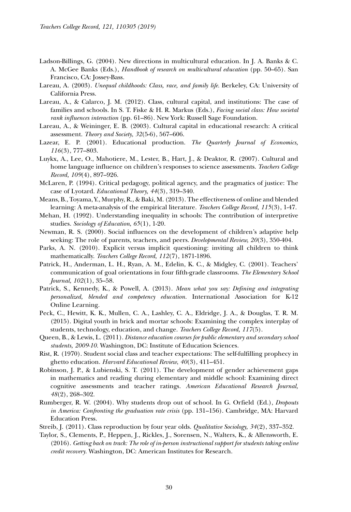- Ladson-Billings, G. (2004). New directions in multicultural education. In J. A. Banks & C. A. McGee Banks (Eds.), *Handbook of research on multicultural education* (pp. 50–65). San Francisco, CA: Jossey-Bass.
- Lareau, A. (2003). *Unequal childhoods: Class, race, and family life.* Berkeley, CA: University of California Press.
- Lareau, A., & Calarco, J. M. (2012). Class, cultural capital, and institutions: The case of families and schools. In S. T. Fiske & H. R. Markus (Eds.), *Facing social class: How societal rank influences interaction* (pp. 61–86). New York: Russell Sage Foundation.
- Lareau, A., & Weininger, E. B. (2003). Cultural capital in educational research: A critical assessment. *Theory and Society*, *32*(5-6), 567–606.
- Lazear, E. P. (2001). Educational production. *The Quarterly Journal of Economics, 116*(3), 777–803.
- Luykx, A., Lee, O., Mahotiere, M., Lester, B., Hart, J., & Deaktor, R. (2007). Cultural and home language influence on children's responses to science assessments. *Teachers College Record, 109*(4), 897–926.
- McLaren, P. (1994). Critical pedagogy, political agency, and the pragmatics of justice: The case of Lyotard. *Educational Theory, 44*(3), 319–340.
- Means, B., Toyama, Y., Murphy, R., & Baki, M. (2013). The effectiveness of online and blended learning: A meta-analysis of the empirical literature. *Teachers College Record, 115*(3), 1-47.
- Mehan, H. (1992). Understanding inequality in schools: The contribution of interpretive studies. *Sociology of Education*, *65*(1), 1-20.
- Newman, R. S. (2000). Social influences on the development of children's adaptive help seeking: The role of parents, teachers, and peers. *Developmental Review, 20*(3), 350-404.
- Parks, A. N. (2010). Explicit versus implicit questioning: inviting all children to think mathematically. *Teachers College Record, 112*(7), 1871-1896.
- Patrick, H., Anderman, L. H., Ryan, A. M., Edelin, K. C., & Midgley, C. (2001). Teachers' communication of goal orientations in four fifth-grade classrooms. *The Elementary School Journal, 102*(1), 35–58.
- Patrick, S., Kennedy, K., & Powell, A. (2013). *Mean what you say: Defining and integrating personalized, blended and competency education.* International Association for K-12 Online Learning.
- Peck, C., Hewitt, K. K., Mullen, C. A., Lashley, C. A., Eldridge, J. A., & Douglas, T. R. M. (2015). Digital youth in brick and mortar schools: Examining the complex interplay of students, technology, education, and change. *Teachers College Record, 117*(5).
- Queen, B., & Lewis, L. (2011). *Distance education courses for public elementary and secondary school students, 2009-10.* Washington, DC: Institute of Education Sciences.
- Rist, R. (1970). Student social class and teacher expectations: The self-fulfilling prophecy in ghetto education. *Harvard Educational Review*, *40*(3), 411–451.
- Robinson, J. P., & Lubienski, S. T. (2011). The development of gender achievement gaps in mathematics and reading during elementary and middle school: Examining direct cognitive assessments and teacher ratings. *American Educational Research Journal, 48*(2), 268–302.
- Rumberger, R. W. (2004). Why students drop out of school. In G. Orfield (Ed.), *Dropouts in America: Confronting the graduation rate crisis* (pp. 131–156). Cambridge, MA: Harvard Education Press.
- Streib, J. (2011). Class reproduction by four year olds. *Qualitative Sociology, 34*(2), 337–352.
- Taylor, S., Clements, P., Heppen, J., Rickles, J., Sorensen, N., Walters, K., & Allensworth, E. (2016). *Getting back on track: The role of in-person instructional support for students taking online credit recovery.* Washington, DC: American Institutes for Research.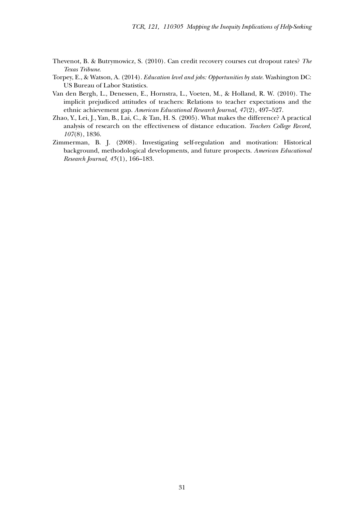- Thevenot, B. & Butrymowicz, S. (2010). Can credit recovery courses cut dropout rates? *The Texas Tribune*.
- Torpey, E., & Watson, A. (2014). *Education level and jobs: Opportunities by state.* Washington DC: US Bureau of Labor Statistics.
- Van den Bergh, L., Denessen, E., Hornstra, L., Voeten, M., & Holland, R. W. (2010). The implicit prejudiced attitudes of teachers: Relations to teacher expectations and the ethnic achievement gap. *American Educational Research Journal, 47*(2), 497–527.
- Zhao, Y., Lei, J., Yan, B., Lai, C., & Tan, H. S. (2005). What makes the difference? A practical analysis of research on the effectiveness of distance education. *Teachers College Record, 107*(8), 1836.
- Zimmerman, B. J. (2008). Investigating self-regulation and motivation: Historical background, methodological developments, and future prospects. *American Educational Research Journal, 45*(1), 166–183.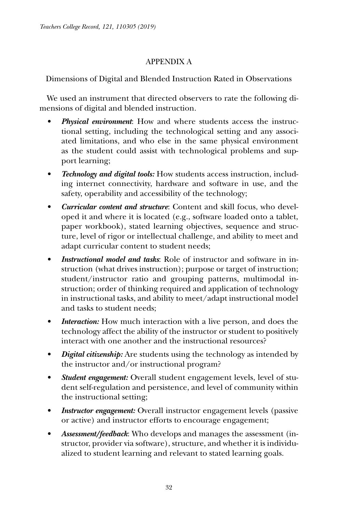# Appendix A

# Dimensions of Digital and Blended Instruction Rated in Observations

We used an instrument that directed observers to rate the following dimensions of digital and blended instruction.

- *Physical environment*: How and where students access the instructional setting, including the technological setting and any associated limitations, and who else in the same physical environment as the student could assist with technological problems and support learning;
- *• Technology and digital tools:* How students access instruction, including internet connectivity, hardware and software in use, and the safety, operability and accessibility of the technology;
- *• Curricular content and structure*: Content and skill focus, who developed it and where it is located (e.g., software loaded onto a tablet, paper workbook), stated learning objectives, sequence and structure, level of rigor or intellectual challenge, and ability to meet and adapt curricular content to student needs;
- *Instructional model and tasks:* Role of instructor and software in instruction (what drives instruction); purpose or target of instruction; student/instructor ratio and grouping patterns, multimodal instruction; order of thinking required and application of technology in instructional tasks, and ability to meet/adapt instructional model and tasks to student needs;
- *Interaction:* How much interaction with a live person, and does the technology affect the ability of the instructor or student to positively interact with one another and the instructional resources?
- *Digital citizenship:* Are students using the technology as intended by the instructor and/or instructional program?
- *• Student engagement:* Overall student engagement levels, level of student self-regulation and persistence, and level of community within the instructional setting;
- *Instructor engagement:* Overall instructor engagement levels (passive or active) and instructor efforts to encourage engagement;
- *• Assessment/feedback*: Who develops and manages the assessment (instructor, provider via software), structure, and whether it is individualized to student learning and relevant to stated learning goals.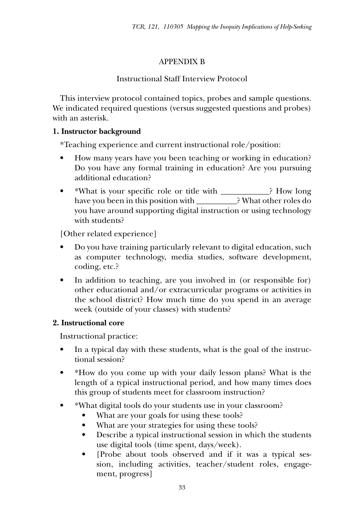# Appendix B

# Instructional Staff Interview Protocol

This interview protocol contained topics, probes and sample questions. We indicated required questions (versus suggested questions and probes) with an asterisk.

# **1. Instructor background**

\*Teaching experience and current instructional role/position:

- How many years have you been teaching or working in education? Do you have any formal training in education? Are you pursuing additional education?
- \*What is your specific role or title with \_\_\_\_\_\_\_\_\_\_\_\_? How long have you been in this position with \_\_\_\_\_\_\_\_\_\_? What other roles do you have around supporting digital instruction or using technology with students?

[Other related experience]

- Do you have training particularly relevant to digital education, such as computer technology, media studies, software development, coding, etc.?
- In addition to teaching, are you involved in (or responsible for) other educational and/or extracurricular programs or activities in the school district? How much time do you spend in an average week (outside of your classes) with students?

# **2. Instructional core**

Instructional practice:

- In a typical day with these students, what is the goal of the instructional session?
- \*How do you come up with your daily lesson plans? What is the length of a typical instructional period, and how many times does this group of students meet for classroom instruction?
- • \*What digital tools do your students use in your classroom?
	- What are your goals for using these tools?
	- What are your strategies for using these tools?
	- Describe a typical instructional session in which the students use digital tools (time spent, days/week).
	- [Probe about tools observed and if it was a typical session, including activities, teacher/student roles, engagement, progress]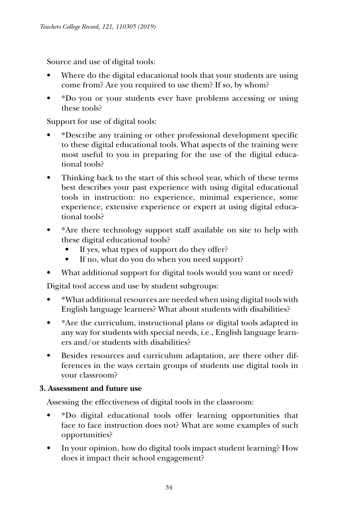Source and use of digital tools:

- Where do the digital educational tools that your students are using come from? Are you required to use them? If so, by whom?
- \*Do you or your students ever have problems accessing or using these tools?

Support for use of digital tools:

- • \*Describe any training or other professional development specific to these digital educational tools. What aspects of the training were most useful to you in preparing for the use of the digital educational tools?
- Thinking back to the start of this school year, which of these terms best describes your past experience with using digital educational tools in instruction: no experience, minimal experience, some experience, extensive experience or expert at using digital educational tools?
- \*Are there technology support staff available on site to help with these digital educational tools?
	- If yes, what types of support do they offer?
	- If no, what do you do when you need support?
- What additional support for digital tools would you want or need?

Digital tool access and use by student subgroups:

- • \*What additional resources are needed when using digital tools with English language learners? What about students with disabilities?
- • \*Are the curriculum, instructional plans or digital tools adapted in any way for students with special needs, i.e., English language learners and/or students with disabilities?
- • Besides resources and curriculum adaptation, are there other differences in the ways certain groups of students use digital tools in your classroom?

# **3. Assessment and future use**

Assessing the effectiveness of digital tools in the classroom:

- • \*Do digital educational tools offer learning opportunities that face to face instruction does not? What are some examples of such opportunities?
- In your opinion, how do digital tools impact student learning? How does it impact their school engagement?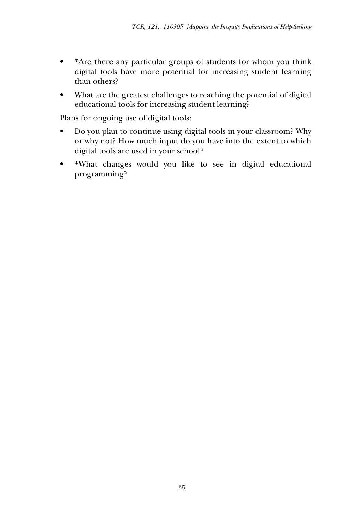- \*Are there any particular groups of students for whom you think digital tools have more potential for increasing student learning than others?
- What are the greatest challenges to reaching the potential of digital educational tools for increasing student learning?

Plans for ongoing use of digital tools:

- Do you plan to continue using digital tools in your classroom? Why or why not? How much input do you have into the extent to which digital tools are used in your school?
- • \*What changes would you like to see in digital educational programming?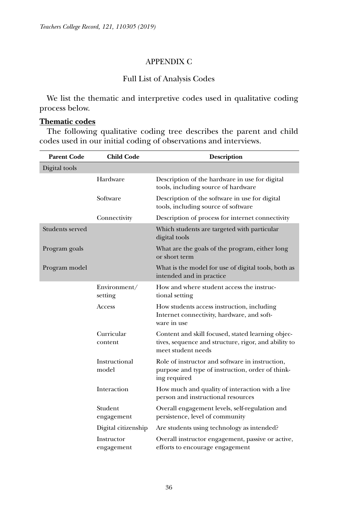# Appendix C

# Full List of Analysis Codes

We list the thematic and interpretive codes used in qualitative coding process below.

## **Thematic codes**

The following qualitative coding tree describes the parent and child codes used in our initial coding of observations and interviews.

| <b>Parent Code</b> | <b>Child Code</b>        | <b>Description</b>                                                                                                              |
|--------------------|--------------------------|---------------------------------------------------------------------------------------------------------------------------------|
| Digital tools      |                          |                                                                                                                                 |
|                    | Hardware                 | Description of the hardware in use for digital<br>tools, including source of hardware                                           |
|                    | Software                 | Description of the software in use for digital<br>tools, including source of software                                           |
|                    | Connectivity             | Description of process for internet connectivity                                                                                |
| Students served    |                          | Which students are targeted with particular<br>digital tools                                                                    |
| Program goals      |                          | What are the goals of the program, either long<br>or short term                                                                 |
| Program model      |                          | What is the model for use of digital tools, both as<br>intended and in practice.                                                |
|                    | Environment/<br>setting  | How and where student access the instruc-<br>tional setting                                                                     |
|                    | Access                   | How students access instruction, including<br>Internet connectivity, hardware, and soft-<br>ware in use                         |
|                    | Curricular<br>content    | Content and skill focused, stated learning objec-<br>tives, sequence and structure, rigor, and ability to<br>meet student needs |
|                    | Instructional<br>model   | Role of instructor and software in instruction,<br>purpose and type of instruction, order of think-<br>ing required             |
|                    | Interaction              | How much and quality of interaction with a live<br>person and instructional resources                                           |
|                    | Student<br>engagement    | Overall engagement levels, self-regulation and<br>persistence, level of community                                               |
|                    | Digital citizenship      | Are students using technology as intended?                                                                                      |
|                    | Instructor<br>engagement | Overall instructor engagement, passive or active,<br>efforts to encourage engagement                                            |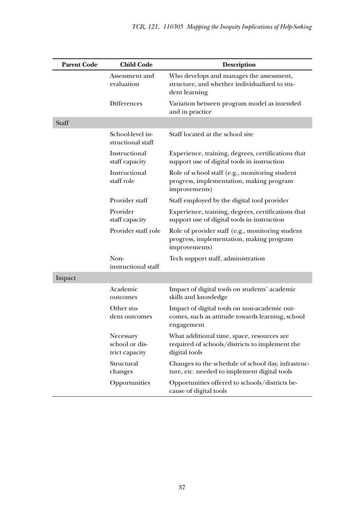| <b>Parent Code</b> | <b>Child Code</b>                             | <b>Description</b>                                                                                             |
|--------------------|-----------------------------------------------|----------------------------------------------------------------------------------------------------------------|
|                    | Assessment and<br>evaluation                  | Who develops and manages the assessment,<br>structure, and whether individualized to stu-<br>dent learning     |
|                    | <b>Differences</b>                            | Variation between program model as intended<br>and in practice                                                 |
| Staff              |                                               |                                                                                                                |
|                    | School-level in-<br>structional staff         | Staff located at the school site                                                                               |
|                    | Instructional<br>staff capacity               | Experience, training, degrees, certifications that<br>support use of digital tools in instruction              |
|                    | Instructional<br>staff role                   | Role of school staff (e.g., monitoring student<br>progress, implementation, making program<br>improvements)    |
|                    | Provider staff                                | Staff employed by the digital tool provider                                                                    |
|                    | Provider<br>staff capacity                    | Experience, training, degrees, certifications that<br>support use of digital tools in instruction              |
|                    | Provider staff role                           | Role of provider staff (e.g., monitoring student<br>progress, implementation, making program<br>improvements)  |
|                    | Non-<br>instructional staff                   | Tech support staff, administration                                                                             |
| Impact             |                                               |                                                                                                                |
|                    | Academic<br>outcomes                          | Impact of digital tools on students' academic<br>skills and knowledge                                          |
|                    | Other stu-<br>dent outcomes                   | Impact of digital tools on non-academic out-<br>comes, such as attitude towards learning, school<br>engagement |
|                    | Necessary<br>school or dis-<br>trict capacity | What additional time, space, resources are<br>required of schools/districts to implement the<br>digital tools  |
|                    | Structural<br>changes                         | Changes to the schedule of school day, infrastruc-<br>ture, etc. needed to implement digital tools             |
|                    | Opportunities                                 | Opportunities offered to schools/districts be-<br>cause of digital tools                                       |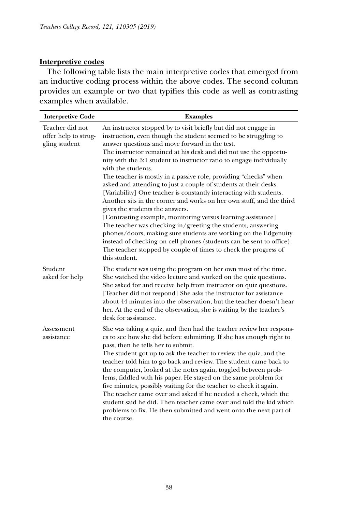# **Interpretive codes**

The following table lists the main interpretive codes that emerged from an inductive coding process within the above codes. The second column provides an example or two that typifies this code as well as contrasting examples when available.

| <b>Interpretive Code</b>                                 | <b>Examples</b>                                                                                                                                                                                                                                                                                                                                                                                                                                                                                                                                                                                                                                                                                                                                                                                                                                                                                                                                                                                                                                |
|----------------------------------------------------------|------------------------------------------------------------------------------------------------------------------------------------------------------------------------------------------------------------------------------------------------------------------------------------------------------------------------------------------------------------------------------------------------------------------------------------------------------------------------------------------------------------------------------------------------------------------------------------------------------------------------------------------------------------------------------------------------------------------------------------------------------------------------------------------------------------------------------------------------------------------------------------------------------------------------------------------------------------------------------------------------------------------------------------------------|
| Teacher did not<br>offer help to strug-<br>gling student | An instructor stopped by to visit briefly but did not engage in<br>instruction, even though the student seemed to be struggling to<br>answer questions and move forward in the test.<br>The instructor remained at his desk and did not use the opportu-<br>nity with the 3:1 student to instructor ratio to engage individually<br>with the students.<br>The teacher is mostly in a passive role, providing "checks" when<br>asked and attending to just a couple of students at their desks.<br>[Variability] One teacher is constantly interacting with students.<br>Another sits in the corner and works on her own stuff, and the third<br>gives the students the answers.<br>[Contrasting example, monitoring versus learning assistance]<br>The teacher was checking in/greeting the students, answering<br>phones/doors, making sure students are working on the Edgenuity<br>instead of checking on cell phones (students can be sent to office).<br>The teacher stopped by couple of times to check the progress of<br>this student. |
| Student<br>asked for help                                | The student was using the program on her own most of the time.<br>She watched the video lecture and worked on the quiz questions.<br>She asked for and receive help from instructor on quiz questions.<br>[Teacher did not respond] She asks the instructor for assistance<br>about 44 minutes into the observation, but the teacher doesn't hear<br>her. At the end of the observation, she is waiting by the teacher's<br>desk for assistance.                                                                                                                                                                                                                                                                                                                                                                                                                                                                                                                                                                                               |
| <b>Assessment</b><br>assistance                          | She was taking a quiz, and then had the teacher review her respons-<br>es to see how she did before submitting. If she has enough right to<br>pass, then he tells her to submit.<br>The student got up to ask the teacher to review the quiz, and the<br>teacher told him to go back and review. The student came back to<br>the computer, looked at the notes again, toggled between prob-<br>lems, fiddled with his paper. He stayed on the same problem for<br>five minutes, possibly waiting for the teacher to check it again.<br>The teacher came over and asked if he needed a check, which the<br>student said he did. Then teacher came over and told the kid which<br>problems to fix. He then submitted and went onto the next part of<br>the course.                                                                                                                                                                                                                                                                               |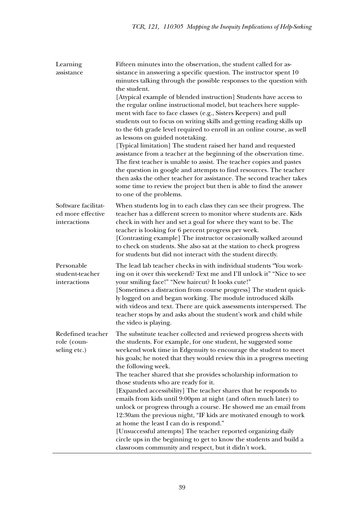| Learning<br>assistance                                   | Fifteen minutes into the observation, the student called for as-<br>sistance in answering a specific question. The instructor spent 10<br>minutes talking through the possible responses to the question with<br>the student.<br>[Atypical example of blended instruction] Students have access to<br>the regular online instructional model, but teachers here supple-<br>ment with face to face classes (e.g., Sisters Keepers) and pull<br>students out to focus on writing skills and getting reading skills up<br>to the 6th grade level required to enroll in an online course, as well<br>as lessons on guided notetaking.<br>[Typical limitation] The student raised her hand and requested<br>assistance from a teacher at the beginning of the observation time.<br>The first teacher is unable to assist. The teacher copies and pastes<br>the question in google and attempts to find resources. The teacher<br>then asks the other teacher for assistance. The second teacher takes<br>some time to review the project but then is able to find the answer<br>to one of the problems. |
|----------------------------------------------------------|----------------------------------------------------------------------------------------------------------------------------------------------------------------------------------------------------------------------------------------------------------------------------------------------------------------------------------------------------------------------------------------------------------------------------------------------------------------------------------------------------------------------------------------------------------------------------------------------------------------------------------------------------------------------------------------------------------------------------------------------------------------------------------------------------------------------------------------------------------------------------------------------------------------------------------------------------------------------------------------------------------------------------------------------------------------------------------------------------|
| Software facilitat-<br>ed more effective<br>interactions | When students log in to each class they can see their progress. The<br>teacher has a different screen to monitor where students are. Kids<br>check in with her and set a goal for where they want to be. The<br>teacher is looking for 6 percent progress per week.<br>[Contrasting example] The instructor occasionally walked around<br>to check on students. She also sat at the station to check progress<br>for students but did not interact with the student directly.                                                                                                                                                                                                                                                                                                                                                                                                                                                                                                                                                                                                                      |
| Personable<br>student-teacher<br>interactions            | The lead lab teacher checks in with individual students "You work-<br>ing on it over this weekend? Text me and I'll unlock it" "Nice to see<br>your smiling face!" "New haircut? It looks cute!"<br>[Sometimes a distraction from course progress] The student quick-<br>ly logged on and began working. The module introduced skills<br>with videos and text. There are quick assessments interspersed. The<br>teacher stops by and asks about the student's work and child while<br>the video is playing.                                                                                                                                                                                                                                                                                                                                                                                                                                                                                                                                                                                        |
| Redefined teacher<br>role (coun-<br>seling etc.)         | The substitute teacher collected and reviewed progress sheets with<br>the students. For example, for one student, he suggested some<br>weekend work time in Edgenuity to encourage the student to meet<br>his goals; he noted that they would review this in a progress meeting<br>the following week.<br>The teacher shared that she provides scholarship information to<br>those students who are ready for it.<br>[Expanded accessibility] The teacher shares that he responds to<br>emails from kids until 9:00pm at night (and often much later) to<br>unlock or progress through a course. He showed me an email from<br>12:30am the previous night, "IF kids are motivated enough to work<br>at home the least I can do is respond."<br>[Unsuccessful attempts] The teacher reported organizing daily<br>circle ups in the beginning to get to know the students and build a<br>classroom community and respect, but it didn't work.                                                                                                                                                        |